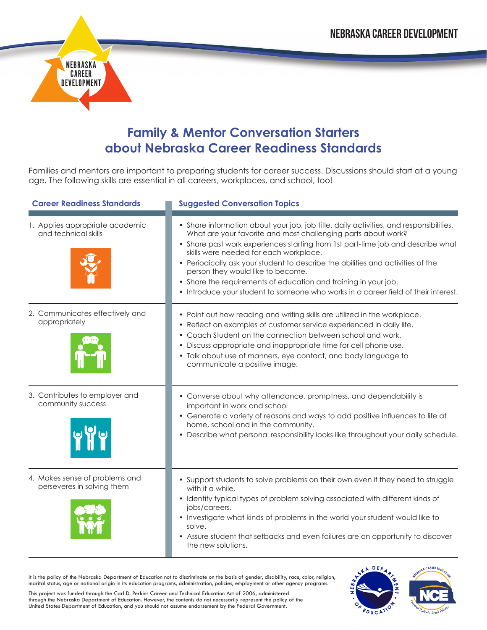

## **Family & Mentor Conversation Starters about Nebraska Career Readiness Standards**

Families and mentors are important to preparing students for career success. Discussions should start at a young age. The following skills are essential in all careers, workplaces, and school, too!

| <b>Career Readiness Standards</b>                            | <b>Suggested Conversation Topics</b>                                                                                                                                                                                                                                                                                                                                                                                                                                                                                                                                  |  |
|--------------------------------------------------------------|-----------------------------------------------------------------------------------------------------------------------------------------------------------------------------------------------------------------------------------------------------------------------------------------------------------------------------------------------------------------------------------------------------------------------------------------------------------------------------------------------------------------------------------------------------------------------|--|
| 1. Applies appropriate academic<br>and technical skills      | • Share information about your job, job title, daily activities, and responsibilities.<br>What are your favorite and most challenging parts about work?<br>• Share past work experiences starting from 1st part-time job and describe what<br>skills were needed for each workplace.<br>• Periodically ask your student to describe the abilities and activities of the<br>person they would like to become.<br>• Share the requirements of education and training in your job.<br>• Introduce your student to someone who works in a career field of their interest. |  |
| 2. Communicates effectively and<br>appropriately             | • Point out how reading and writing skills are utilized in the workplace.<br>• Reflect on examples of customer service experienced in daily life.<br>• Coach Student on the connection between school and work.<br>• Discuss appropriate and inappropriate time for cell phone use.<br>• Talk about use of manners, eye contact, and body language to<br>communicate a positive image.                                                                                                                                                                                |  |
| 3. Contributes to employer and<br>community success          | • Converse about why attendance, promptness, and dependability is<br>important in work and school<br>• Generate a variety of reasons and ways to add positive influences to life at<br>home, school and in the community.<br>• Describe what personal responsibility looks like throughout your daily schedule.                                                                                                                                                                                                                                                       |  |
| 4. Makes sense of problems and<br>perseveres in solving them | • Support students to solve problems on their own even if they need to struggle<br>with it a while.<br>• Identify typical types of problem solving associated with different kinds of<br>jobs/careers.<br>• Investigate what kinds of problems in the world your student would like to<br>solve.<br>• Assure student that setbacks and even failures are an opportunity to discover<br>the new solutions.                                                                                                                                                             |  |

It is the policy of the Nebraska Department of Education not to discriminate on the basis of gender, disability, race, color, religion, marital status, age or national origin in its education programs, administration, policies, employment or other agency programs.

This project was funded through the Carl D. Perkins Career and Technical Education Act of 2006, administered through the Nebraska Department of Education. However, the contents do not necessarily represent the policy of the United States Department of Education, and you should not assume endorsement by the Federal Government.